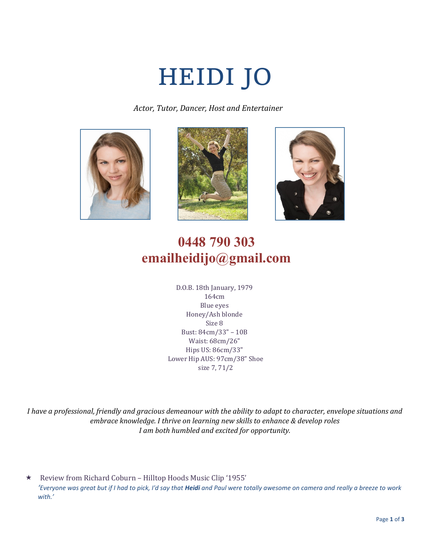# HEIDI JO

 *Actor, Tutor, Dancer, Host and Entertainer* 







# **0448 790 303 emailheidijo@gmail.com**

D.O.B. 18th January, 1979 164cm Blue eyes Honey/Ash blonde Size 8 Bust: 84cm/33" – 10B Waist: 68cm/26" Hips US: 86cm/33" Lower Hip AUS: 97cm/38" Shoe size 7, 71/2

*I have a professional, friendly and gracious demeanour with the ability to adapt to character, envelope situations and embrace knowledge. I thrive on learning new skills to enhance & develop roles I am both humbled and excited for opportunity.*

 Review from Richard Coburn – Hilltop Hoods Music Clip '1955' '*Everyone was great but if I had to pick, I'd say that Heidi and Paul were totally awesome on camera and really a breeze to work with.'*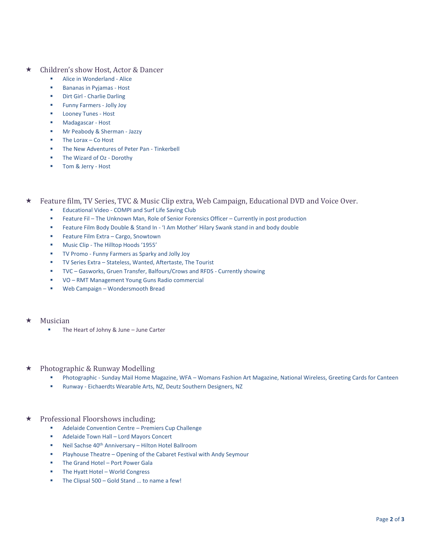- Children's show Host, Actor & Dancer
	- Alice in Wonderland Alice
	- Bananas in Pyjamas Host
	- Dirt Girl Charlie Darling
	- Funny Farmers Jolly Joy
	- **Looney Tunes Host**
	- Madagascar Host
	- Mr Peabody & Sherman Jazzy
	- The Lorax  $-$  Co Host
	- The New Adventures of Peter Pan Tinkerbell
	- The Wizard of Oz Dorothy
	- Tom & Jerry Host
- Feature film, TV Series, TVC & Music Clip extra, Web Campaign, Educational DVD and Voice Over.
	- Educational Video COMPI and Surf Life Saving Club
	- Feature Fil The Unknown Man, Role of Senior Forensics Officer Currently in post production
	- Feature Film Body Double & Stand In 'I Am Mother' Hilary Swank stand in and body double
	- Feature Film Extra Cargo, Snowtown
	- Music Clip The Hilltop Hoods '1955'
	- TV Promo Funny Farmers as Sparky and Jolly Joy
	- TV Series Extra Stateless, Wanted, Aftertaste, The Tourist
	- TVC Gasworks, Gruen Transfer, Balfours/Crows and RFDS Currently showing
	- VO RMT Management Young Guns Radio commercial
	- Web Campaign Wondersmooth Bread
- Musician
	- The Heart of Johny & June June Carter
- ★ Photographic & Runway Modelling
	- Photographic Sunday Mail Home Magazine, WFA Womans Fashion Art Magazine, National Wireless, Greeting Cards for Canteen
	- Runway Eichaerdts Wearable Arts, NZ, Deutz Southern Designers, NZ
- Professional Floorshows including;
	- Adelaide Convention Centre Premiers Cup Challenge
	- Adelaide Town Hall Lord Mayors Concert
	- Neil Sachse 40<sup>th</sup> Anniversary Hilton Hotel Ballroom
	- Playhouse Theatre Opening of the Cabaret Festival with Andy Seymour
	- The Grand Hotel Port Power Gala
	- The Hyatt Hotel World Congress
	- The Clipsal  $500 -$  Gold Stand ... to name a few!